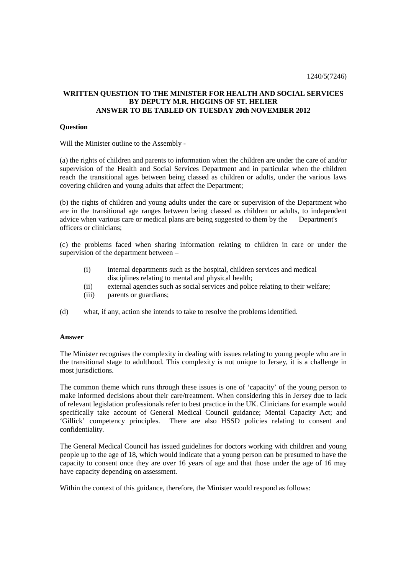## **WRITTEN QUESTION TO THE MINISTER FOR HEALTH AND SOCIAL SERVICES BY DEPUTY M.R. HIGGINS OF ST. HELIER ANSWER TO BE TABLED ON TUESDAY 20th NOVEMBER 2012**

## **Question**

Will the Minister outline to the Assembly -

(a) the rights of children and parents to information when the children are under the care of and/or supervision of the Health and Social Services Department and in particular when the children reach the transitional ages between being classed as children or adults, under the various laws covering children and young adults that affect the Department;

(b) the rights of children and young adults under the care or supervision of the Department who are in the transitional age ranges between being classed as children or adults, to independent advice when various care or medical plans are being suggested to them by the Department's officers or clinicians;

(c) the problems faced when sharing information relating to children in care or under the supervision of the department between –

- (i) internal departments such as the hospital, children services and medical disciplines relating to mental and physical health;
- (ii) external agencies such as social services and police relating to their welfare;
- (iii) parents or guardians;
- (d) what, if any, action she intends to take to resolve the problems identified.

## **Answer**

The Minister recognises the complexity in dealing with issues relating to young people who are in the transitional stage to adulthood. This complexity is not unique to Jersey, it is a challenge in most jurisdictions.

The common theme which runs through these issues is one of 'capacity' of the young person to make informed decisions about their care/treatment. When considering this in Jersey due to lack of relevant legislation professionals refer to best practice in the UK. Clinicians for example would specifically take account of General Medical Council guidance; Mental Capacity Act; and 'Gillick' competency principles. There are also HSSD policies relating to consent and confidentiality.

The General Medical Council has issued guidelines for doctors working with children and young people up to the age of 18, which would indicate that a young person can be presumed to have the capacity to consent once they are over 16 years of age and that those under the age of 16 may have capacity depending on assessment.

Within the context of this guidance, therefore, the Minister would respond as follows: